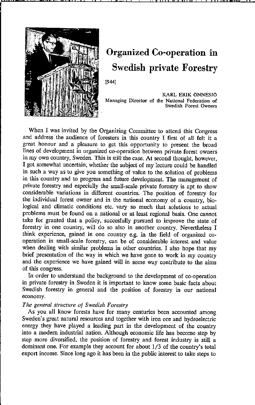

# **Organized Co-operation in Swedish private Forestry**

[944J

KARL ERIK ÖNNESJÖ **Managing Director of the National Federation of Swedish Forest Owners** 

When I was invited by the Organizing Committee to attend this Congress and address tbe audience of foresters in this country I first of all feit it a great honour and a pleasure to get this opportunity to present the broad lines of development in organized co-operation between private forest owners in my own country, Sweden. This is still the case. At second thought, however, I got somewhat uncertain, whether the subject of my lecture could be handled in such a way as to give you something of value to the solution of problems in this country and to progress and future development. The management of private forestry and especially the small-scale private forestry is apt to show considerable variations in different countries. The position of forestry for the individual forest owner and in tbe national economy of a country, biological and climatic conditions etc. vary so much that solutions to actual problems must be found on a national or at least regional basis. One cannot take for granted tbat a policy, succesfully pursued to improve the state of forestry in one country, will do so also in another country. Nevertheless I think experience, gained in one country e.g. in the field of organized cooperation in small-scale forestry, can be of considerable interest and value when dealing with similar problems in other countries. I also hope that my brief presentation of the way in which we have gone to work in my country and the experience we have gained will in some way contribute to the aims of tbis congress.

In order to understand the background to the development of co-operation in private forestry in Sweden it is important to know some basic facts about Swedish forestry in general and the position of forestry in our national **economy.** 

# *The general* Slructure ot *Swedish* Foreslry

As you all know forests have for many centuries been accounted among Sweden's great natural resources and together with iron ore and hydroelectric energy tbey have played a leading part in the development of the country into a modem industrial nation. Although economie Iife has become step by step more diversified, tbe position of forestry and forest industry is still a dominant one. For example they account for about 1/3 of the country's total export income. Since long ago it has been in the public interest to take steps to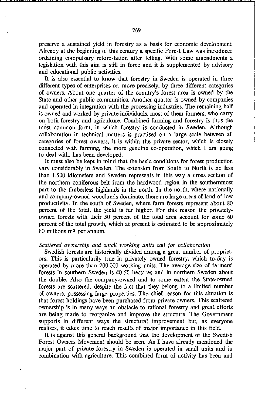preserve a sustained yield in forestry as a basis for economie development. Already at the beginning of thls century a specifie Forest Law was introdueed ordaining compulsary reforestation after felling. With some amendments a legislation with thls aim is still in force and it is supplemented by advisory and educational public activities.

It is also essential to know that forestry in Sweden is operated in three different types of enterprises or, more precisely, by three different categories of owners. About one quarter of the country's forest area is owned by the State and other public communities. Another quarter is owned by companies and operated in integration with the processing industries. The remaining half is owned and worked by private individuals, most of them farmers, who carry on both forestry and agriculture. Combined fanning and forestry is thus the most common form, in which forestry is conducted in Sweden. Although collaboration in technical matters is practised on a large scale between all categories of forest owners, it is within the private sector, which is closely connected with farming, the more genuine co-operation, which I am going to deal with, has been developed.

It must also be kept in mind that the basic conditions for forest production vary considerably in Sweden. The extension from South to North is no less than 1.500 kilometers and Sweden represents in this way a cross section of the northem coniferous belt from the hard wood region in the southemmost part to the timberless highlands in the north. In the north, where nationally and company-owned woodlands dominate, there are large areas of land of low productivity. In the south of Sweden, where farm forests represent about 80 percent of the total, the yield is far higher. For this reason the privatelyawned forests with their 50 percent of the total area account for some 60 percent of the total growth, whieh at present is estimated to be approximately 80 millions m<sup>3</sup> per annum.

#### *Scaltered ownership and small working units call for collaboration*

Swedish forests are historically divided among a great number of proprietors. This is particularily true in privately owned forestry, which to-day is aperated by mare than 200.000 working units. The average size of farmers' forests in southem Sweden is 40-50 hectares and in northern Sweden about the double. Also the company-owned and to some extent the State-owned forests are scattered, despite the fact that they belong to a Iimited number of owners, possessing large properties. The chlef reason far this situation is that forest holdings have been purchased from private owners. This scattered ownership is in many ways an abstacle to ratianal forestry and great efforts are being made to reorganize and improve the structure. The Government supports in different ways the structural improvement but, as everyone realises, it takes time to reach results of major importance in this field.

It is against this general background that the development of the Swedish Forest Owners Movement should be seen. As I have already mentioned the majar part of private forestry in Sweden is operated in smal! units and in combination with agriculture. This combined form of activity has been and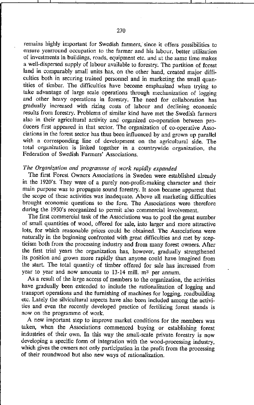remains highly important for Swedish farmers, since it offers possibilities to ensure yearround occupation to the farmer and his labour, better utilization of investments in buildings, roads, equipment etc, and at the same time makes a well-dispersed supply of labour available to forestry. The partition of forest land in comparably small units has, on the other hand, created major difficulties both in securing trained personnel and in marketing the small quantities of timber. The difficulties have become emphasized when trying to take advantage of large scale operations through mechanization of logging and other heavy operations in forestry. The need for collaboration has gradually increased with rizing costs of labour and declining economic results from forestry. Problems of similar kind have met the Swedish farmers also in their agricultural activity and organized co-operation between producers first appeared in that sector. The organization of co-operative Associations in the forest sector has thus been influenced by and grown up parallel with a corresponding line of development on the agricultural side. The **total organization is linked together in a countrywide organization, the**  Federation of Swedish Farmers' Associations.

## *The Organization and programme of work rapidly expanded*

The first Forest Owners Associations in Sweden were established already in the 1920's. They were of a purely non-profit-making character and their main purpose was to propagate sound forestry. It soon became apparent that the scope of these activities was inadequate. Above all marketing difficulties brought economic questions to the fore. The Associations were therefore during the 1930's reorganized to permit also commercial involvement.

The first commercial task of the Associations was to pool the great number of small quantities of wood, offered for sale, into larger and more attractive lots, for which reasonable prices could be obtained. The Associations were naturally in the beginning confronted with great difficulties and met by seepticism both from the processing industry and from many forest owners. After the first trial years the organization has, however, gradually strengthened its position and grown more rapidly than anyone could have imagined from the start. The total quantity of timber offered for sale has increased from year to year and now amounts to 13-14 mill. m<sup>3</sup> per annum.

As a result of the large access of members to the organization, the activities have gradually been extended to include the rationalization of logging and transport operations and the furnishing of machines for logging, roadbuilding etc. Lately the silvicultural aspeets have also been included among the activities and even the recently developed practice of fertilizing forest stands is now on the programme of work.

A ncw important step to improve market conditions for the members was taken. when the Associations commenced buying or establishing forest industries of their own. In this way the small-scale private forestry is now developing a specific form of integration with the wood-processing industry, which gives the owners not only participation in the profit from the processing of their roundwood but also new ways of rationalization.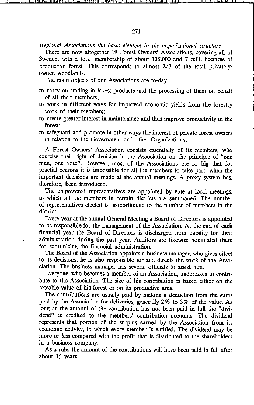*Regional Associations the basic element in the organizational structure* 

There are now altogether 19 Forest Owners' Associations, covering all of Sweden, with a total membership of about 135.000 and 7 mill. hectares of productive forest. This corresponds to almost 2/3 of the total privatelyowned woodlands.

The main objects of our Associations are to-day

- to carry on trading in forest products and the processing of them on behalf of all their members;
- to work in different ways for improved economie yields from the forestry work of their members;
- to ereate greater interest in maintenance and thus improve produetivity in the forest;

to safeguard and promote in other ways the interest of private forest owners in relation to the Government and other Organizations;

A Forest Owners' Association consists essentially of its members, who exercise their right of decision in the Association on the principle of "one man, one vote". However, most of the Associations are so big that for practial reasons it is impossible for al] the members to take part, when the important decisions are made at the annual meetings. A proxy system has, therefore, been introduced.

The empowered representatives are appointed by vote at local meetings, to which all the members in certain districts are summoned. The number of representatives elected is proportionate to the number of members in the district.

Every year at the annual General Meeting a Board of Directors is appointed to be responsible for the management of the Association. At the end of each financial year the Board of Directors is discharged from liability for their administration during the past year. Auditors are likewise nominated there for scrutinizing the financial administration.

The Board of the Association appoints a business manager, who gives effect to its decisions; he is also responsible for and directs the work of the Association. The business manager has several officials to assist him.

Everyone, who becomes a member of an Association, undertakes to contribute to the Association. The size of his contribution is based either on the rateable value of his forest or on its productive area.

The contributions are usually paid by making a deduction from the sums paid by the Association for deliveries, generally 2% to 3% of the value. As long as the amount of the contribution has not been paid in full the "dividend" is credited to the members' contribution accounts. The dividend represents that portion of the surplus eamed by the'Association from its economic activity, to which every member is entitled. The dividend may be more or less compared with the profit that is distributed to the shareholders in a business company.

As a rule, the amount of the contributions will have been paid in full after about 15 years.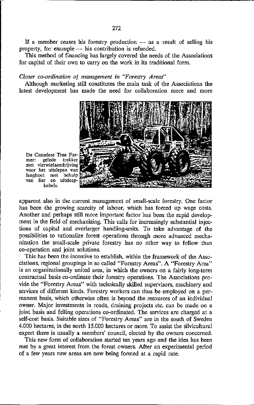If a member ceases his forestry production  $-$  as a result of selling his property, for example  $-$  his contribution is refunded.

This method of financing has largely covered the needs of the Associations for capital of their own to carry on the work in its traditional form.

## *Closer co-ordination of management in "Forestry Areas"*

Although marketing still constitutes the main task of the Associations the latest development has made the need for collaboration more and more



**De Canadese Tree Far**mer: gelede **met vierwielaandrijving voor het uitslepen van langhout met behulp van lier en uitsleep**kabels.

apparent also in the current management of small-scale forestry. One factor has been the growing scarcity of labour, which has forced up wage costs. Another and perhaps still more important factor has been the rapid development in the field of mechanizing. This calls for increasingly substantial injections of capital and everlarger handling-units. To take advantage of the possibilities to rationalize forest operations through more advanced mechanization the small-scale private forestry has no other way to follow than eo-operation and joint solutions.

This has been the incentive to establish, within the framework of the Asso**ciations, regional groupings in so called "Forestry Areas" . A "Forestry Area"**  is an organizationally united area, in which the owners on a fairly long-term eontraetual basis eo-ordinate their forestry operations. The Associations provide the "Forestry Areas" with technically skilled supervisors, machinery and services of different kinds. Forestry workers can thus be employed on a permanent basis, which otherwise of ten is beyond the resources of an individual owner. Major investments in roads, draining projects etc. can be made on a joint basis and felling operations co-ordinated. The services are charged at a self-cost basis. Suitable sizes of "Forestry Areas" are in the south of Sweden 4.000 hectares, in the north 15.000 hectares or more. To assist the silvicultural expert there is usually a members' council, elected by the owners concerned.

This new form of collaboration started ten years ago and the idea has been met by a great interest from the forest owners. After an experimental period of a few years new areas are now being formed at a rapid rate.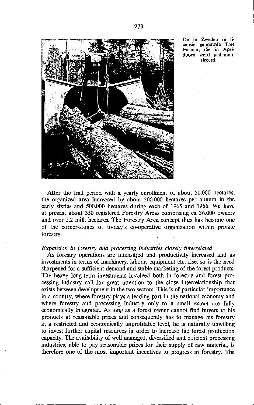

**De in Zweden in licensie gebouwde Tree Farmer, die in Apel**doorn werd gedemon**streerd.** 

After the trial period with a yearly enrollment of about 50.000 hectares, the organized area increased by about 200.000 hectares per annum in the early sixties and 500.000 hectares during each of 1965 and 1966. We have at present about 350 registered Forestry Areas comprising ca 36.000 owners and over 2.2 mill. hectares. The Forestry Area concept thus has become one of tbe corner-stones of to-day's co-operative organization witbin private forestry.

#### *Expansion in forestry and processing industries closely interrelated*

As forestry operations are intensified and productivity increased and as investments in terms of machinery, labour, equipment etc. rise, so is the need sharpened for a sufficient demand and stable marketing of the forest products. The heavy long-term investments involved both in forestry and forest processing industry call for great attention to the close interrelationship that exists between development in the two sectors. This is of particular importance in a country, where forestry plays a leading part in the national economy and where forestry and processing industry only to a small extent are fully economically integrated. As long as a forest owner cannot find buyers to his products at reasonable prices and consequently has to manage his forestry at a restricted and economically unprofitable level, he is naturally unwilling to invest further capital resources in order to increase the forest production capacity. The availability of well managed, diversified and efficient processing industries, able 10 pay reasonable prices for tbeir supply of raw malerial, is therefore one of the most important incentives to progress in forestry. The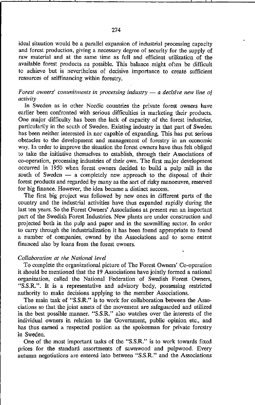ideal situation would be a parallel expansion of industrial processing capacity and forest production, giving a necessary degree of security for the supply of raw material and at the same time as full and efficient utilization of the available forest products as possible. This balance might often be difficult to achieve but is nevertheless of decisive importance to create sufficient resources of selffinancing within forestry.

## Forest owners' commitments in processing industry  $-$  a decisive new line of *activÎty*

In Sweden as in other Nordic countries the private forest owners have earlier been confronted with serious difficulties in marketing tbeir products. One major difficulty has been the lack of capacity of the forest industries. particularily in the south of Sweden. Existing industry in that part of Sweden has been neither interested in nor capable of expanding. This has put serious obstades to the development and management of forestry in an economie way. In order to improve the situation the forest owners have thus felt obliged to take the iniliative themselves to establish. through their Asoociations of co·operation. processing industries of their own. The first major development occurred in 1950 when forest owners decided to build a pulp mill in the south of Sweden  $-$  a completely new approach to the disposal of their forest products and regarded by many as the sort of risky manoeuvre, reserved for big finance. However, the idea became a distinct success.

The first big project was followed by new ones in different parts of the country and the industrial activilies have thus expanded rapidly during the last ten years. So the Forest Owners' Associations at present run an important part of the Swedish Forest Industries. New plants are under construction and projected both in the pulp and paper and in the sawmilling sector. In order to carry through the industrialization it has been found appropriate to found a number of companies, owned by tbe Associations and to some extent financed also by loans from the forest owners.

### *Collaboration at the National level*

To complete tbe organizational picture of The Forest Owners' Co·operation it should be mentioned that the 19 Associations have jointly formed a national organization, called the National Federation of Swedish Forest Owners. "S.S.R.". It is a representative and advisory body, possessing restricted authority to make decisions applying to the member Asoociations.

The main task of "S.S.R." is to work for collaboration between the Asoociations so that tbe joint assets of tbe movement are safeguarded and utilized in the best possible manner. "S.S.R." also watches over the interests of the individual owners in relation to the Government, public opinion etc., and has thus earned a respected position as the spokesman for private forestry in Sweden.

One of the most important tasks of tbe "S.S.R." is to work towards fixed prices for the standard asoortments of sawnwood and pulpwood. Every autumn negotiations are entered into between "S.S.R." and the Associations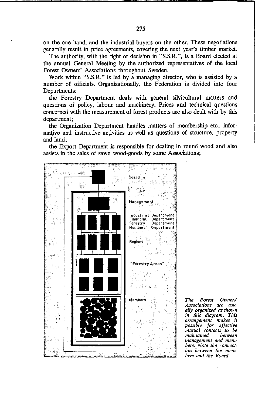on the one hand, and tbe industrial buyers on the other. These negotiations generally result in price agreements, covering tbe next year's timber market.

The authority, with the right of decision in "S.S.R.", is a Board elected at the annual General Meeting by the authorized representatives of the local Forest Owners' Associations throughout Sweden.

Work within "S.S.R." is led by a managing director, who is assisted by a number of officials. Organizationally, the Federation is divided into four Departments:

the Forestry Department deals with general silvicultural matters and questions of policy, labour and machinery. Prices and technical questions concerned witb the measurement of forest products are a!so dealt with by this department;

the Organization Department handles matters of memhership etc., informative and instructive activities as well as questions of structure, property and land;

the Export Department is responsible for dealing in round wood and also assists in the sales of sawn wood-goods by some Associations;



*Tile Forest Owners' Associations are usually organized as shown in Ihis diagram. This arrangement makes it possible for effeclive mutual contacts* **/0** *be maintained management and mem*bers. Note the connection between the mem*bers and the Board.*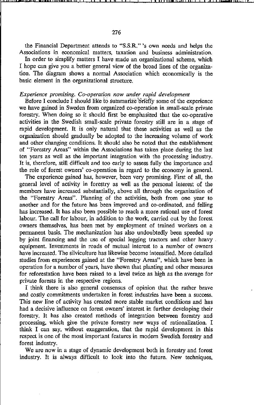tbe Financial Department attends to "S.S.R." 's own needs and helps the **Associations in economical matters, taxation and business administration.** 

In order to simplify matters I have made an organizational scheme, which I hope can give you a better general view of the broad lines of the organization. The diagram shows a norma! Association which economically is the basic element in the organizational structure.

#### *Experience promising. Co-operation now under rapid development*

Before I conclude I should like to summarize briefly some of the experience we have gained in Sweden from organized co-operation in small-scale private forestry. When doing so it should first be emphasized that the co-operative activities in the Swedish small-scale private forestry still are in a stage of rapid development. It is only natural that these activities as weil as the organization should gradually be adopted to the increasing volume of work and otber changing conditions. It should also be noted that the establishment of "Forestry Areas" within the Associations has taken place during the last ten years as well as tbe important integration with the processing industry. It is, therefore, still difficult and too early to assess fully the importanee and the role of forest owners' co-operation in regard to the economy in genera\.

The experienee gained has, however, been very promising. First of all, the genera! level of activity in forestry as weil as the personal interest of the members have increased substantially, above all through the organization of tbe "Forestry Areas". Planning of the activities. both from one year to another and for the future has been improved and co-ordinated, and felling has increased. It has also been possible to reach a more rational use of forest labour. The call for labour, in addition to the work, carried out by the forest owners tbemselves, has been met by employment of trained workers on a permanent basis. The mechanization has a!so undoubtedly been speeded up by joint financing and tbe use of special logging tractors and other heavy . equipment. Inveslments in raads of mutual interest to a number of owners have increased. The silviculture has likewise become intensified. More detailed studies from experiences gained at the "Forestry Areas", which have been in operation for a number of years, have shown that planting and other measures for reforestation have been raised to a level twice as high as the average for private forests in the respective regions.

I think there is also general consensus of opinion tbat the rather brave and costly commitments undertaken in forest industries have been a success. This new line of activity has created more stable market conditions and has had a decisive influence on forest owners' interest in further developing their forestry. It has also created metbods of integration between forestry and processing, which give the private forestry new ways of rationalization. I think I can say, without exaggeration, that the rapid development in this respect is one of the most important features in modern Swedish forestry and forest industry.

We are now in a stage of dynamic development both in forestry and forest industry. It is always difficult to look into the future. New techniques,